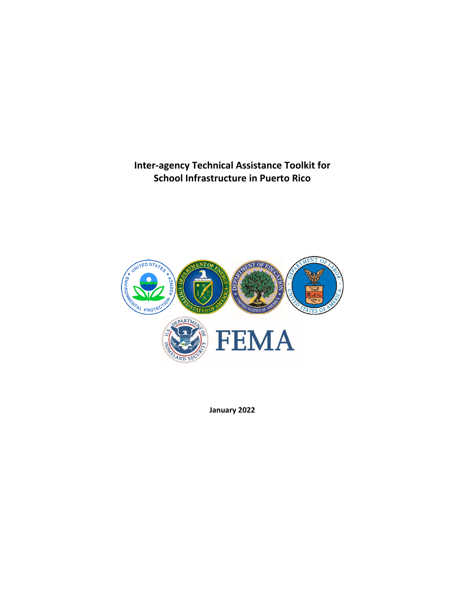**Inter-agency Technical Assistance Toolkit for School Infrastructure in Puerto Rico**



**January 2022**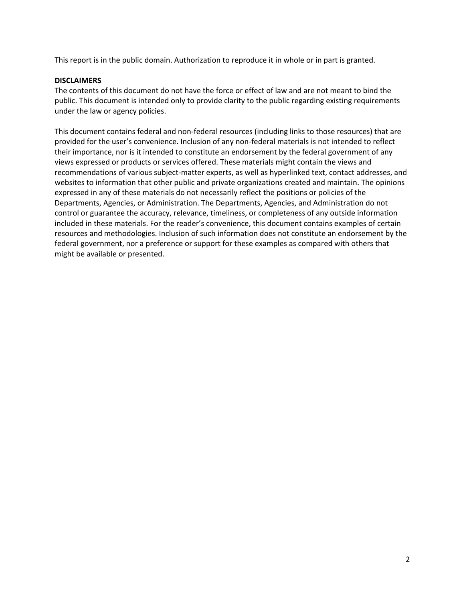This report is in the public domain. Authorization to reproduce it in whole or in part is granted.

#### **DISCLAIMERS**

The contents of this document do not have the force or effect of law and are not meant to bind the public. This document is intended only to provide clarity to the public regarding existing requirements under the law or agency policies.

This document contains federal and non-federal resources (including links to those resources) that are provided for the user's convenience. Inclusion of any non-federal materials is not intended to reflect their importance, nor is it intended to constitute an endorsement by the federal government of any views expressed or products or services offered. These materials might contain the views and recommendations of various subject-matter experts, as well as hyperlinked text, contact addresses, and websites to information that other public and private organizations created and maintain. The opinions expressed in any of these materials do not necessarily reflect the positions or policies of the Departments, Agencies, or Administration. The Departments, Agencies, and Administration do not control or guarantee the accuracy, relevance, timeliness, or completeness of any outside information included in these materials. For the reader's convenience, this document contains examples of certain resources and methodologies. Inclusion of such information does not constitute an endorsement by the federal government, nor a preference or support for these examples as compared with others that might be available or presented.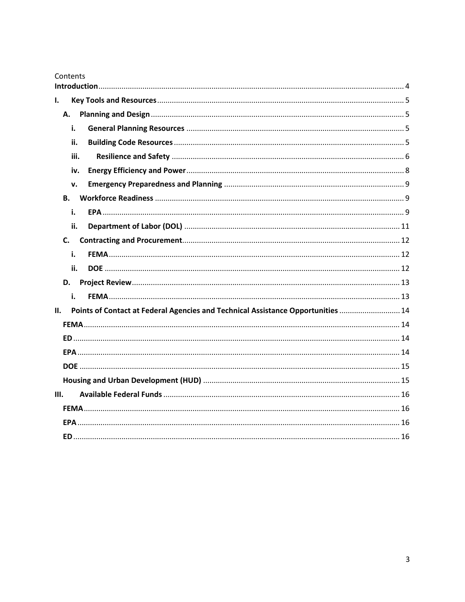| Contents                                                                                |      |  |
|-----------------------------------------------------------------------------------------|------|--|
|                                                                                         |      |  |
| ı.                                                                                      |      |  |
| А.                                                                                      |      |  |
|                                                                                         | i.   |  |
|                                                                                         | ii.  |  |
|                                                                                         | iii. |  |
|                                                                                         | iv.  |  |
|                                                                                         | v.   |  |
| <b>B.</b>                                                                               |      |  |
|                                                                                         | i.   |  |
|                                                                                         | ii.  |  |
| C.                                                                                      |      |  |
|                                                                                         | i.   |  |
|                                                                                         | ii.  |  |
| D.                                                                                      |      |  |
|                                                                                         | i.   |  |
| Points of Contact at Federal Agencies and Technical Assistance Opportunities  14<br>II. |      |  |
|                                                                                         |      |  |
|                                                                                         |      |  |
|                                                                                         |      |  |
|                                                                                         |      |  |
|                                                                                         |      |  |
| III.                                                                                    |      |  |
|                                                                                         |      |  |
|                                                                                         |      |  |
|                                                                                         |      |  |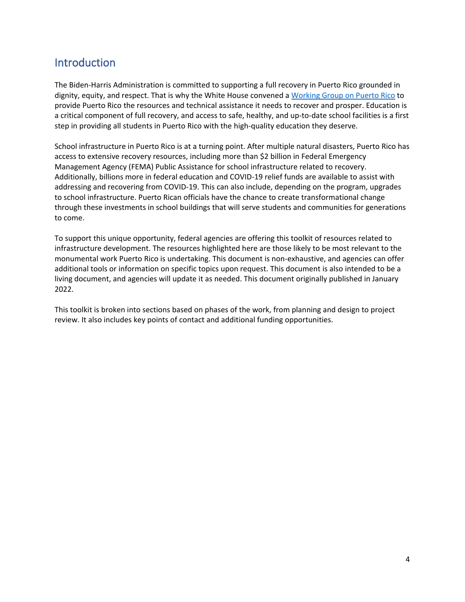## <span id="page-3-0"></span>Introduction

The Biden-Harris Administration is committed to supporting a full recovery in Puerto Rico grounded in dignity, equity, and respect. That is why the White House convened [a Working Group on Puerto Rico](https://www.whitehouse.gov/briefing-room/statements-releases/2021/07/20/readout-of-the-first-meeting-of-the-white-house-working-group-on-puerto-rico/) to provide Puerto Rico the resources and technical assistance it needs to recover and prosper. Education is a critical component of full recovery, and access to safe, healthy, and up-to-date school facilities is a first step in providing all students in Puerto Rico with the high-quality education they deserve.

School infrastructure in Puerto Rico is at a turning point. After multiple natural disasters, Puerto Rico has access to extensive recovery resources, including more than \$2 billion in Federal Emergency Management Agency (FEMA) Public Assistance for school infrastructure related to recovery. Additionally, billions more in federal education and COVID-19 relief funds are available to assist with addressing and recovering from COVID-19. This can also include, depending on the program, upgrades to school infrastructure. Puerto Rican officials have the chance to create transformational change through these investments in school buildings that will serve students and communities for generations to come.

To support this unique opportunity, federal agencies are offering this toolkit of resources related to infrastructure development. The resources highlighted here are those likely to be most relevant to the monumental work Puerto Rico is undertaking. This document is non-exhaustive, and agencies can offer additional tools or information on specific topics upon request. This document is also intended to be a living document, and agencies will update it as needed. This document originally published in January 2022.

This toolkit is broken into sections based on phases of the work, from planning and design to project review. It also includes key points of contact and additional funding opportunities.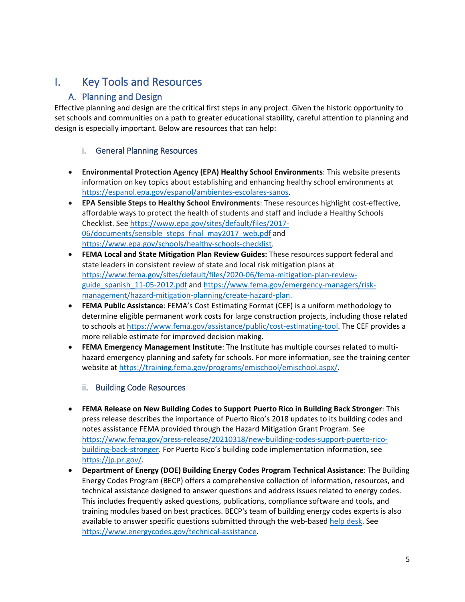# <span id="page-4-1"></span><span id="page-4-0"></span>I. Key Tools and Resources

## A. Planning and Design

Effective planning and design are the critical first steps in any project. Given the historic opportunity to set schools and communities on a path to greater educational stability, careful attention to planning and design is especially important. Below are resources that can help:

#### <span id="page-4-2"></span>i. General Planning Resources

- **Environmental Protection Agency (EPA) Healthy School Environments**: This website presents information on key topics about establishing and enhancing healthy school environments at [https://espanol.epa.gov/espanol/ambientes-escolares-sanos.](https://espanol.epa.gov/espanol/ambientes-escolares-sanos)
- **EPA Sensible Steps to Healthy School Environments**: These resources highlight cost-effective, affordable ways to protect the health of students and staff and include a Healthy Schools Checklist. Se[e https://www.epa.gov/sites/default/files/2017-](https://www.epa.gov/sites/default/files/2017-06/documents/sensible_steps_final_may2017_web.pdf) 06/documents/sensible steps final may2017 web.pdf and [https://www.epa.gov/schools/healthy-schools-checklist.](https://www.epa.gov/schools/healthy-schools-checklist)
- **FEMA Local and State Mitigation Plan Review Guides:** These resources support federal and state leaders in consistent review of state and local risk mitigation plans at [https://www.fema.gov/sites/default/files/2020-06/fema-mitigation-plan-review](https://www.fema.gov/sites/default/files/2020-06/fema-mitigation-plan-review-guide_spanish_11-05-2012.pdf)guide spanish 11-05-2012.pdf and [https://www.fema.gov/emergency-managers/risk](https://www.fema.gov/emergency-managers/risk-management/hazard-mitigation-planning/create-hazard-plan)[management/hazard-mitigation-planning/create-hazard-plan.](https://www.fema.gov/emergency-managers/risk-management/hazard-mitigation-planning/create-hazard-plan)
- **FEMA Public Assistance**: FEMA's Cost Estimating Format (CEF) is a uniform methodology to determine eligible permanent work costs for large construction projects, including those related to schools at [https://www.fema.gov/assistance/public/cost-estimating-tool.](https://www.fema.gov/assistance/public/cost-estimating-tool) The CEF provides a more reliable estimate for improved decision making.
- **FEMA Emergency Management Institute**: The Institute has multiple courses related to multihazard emergency planning and safety for schools. For more information, see the training center website at [https://training.fema.gov/programs/emischool/emischool.aspx/.](https://training.fema.gov/programs/emischool/emischool.aspx/)

#### ii. Building Code Resources

- <span id="page-4-3"></span>• **FEMA Release on New Building Codes to Support Puerto Rico in Building Back Stronger**: This press release describes the importance of Puerto Rico's 2018 updates to its building codes and notes assistance FEMA provided through the Hazard Mitigation Grant Program. See [https://www.fema.gov/press-release/20210318/new-building-codes-support-puerto-rico](https://www.fema.gov/press-release/20210318/new-building-codes-support-puerto-rico-building-back-stronger)[building-back-stronger.](https://www.fema.gov/press-release/20210318/new-building-codes-support-puerto-rico-building-back-stronger) For Puerto Rico's building code implementation information, see [https://jp.pr.gov/.](https://jp.pr.gov/)
- **Department of Energy (DOE) Building Energy Codes Program Technical Assistance**: The Building Energy Codes Program (BECP) offers a comprehensive collection of information, resources, and technical assistance designed to answer questions and address issues related to energy codes. This includes frequently asked questions, publications, compliance software and tools, and training modules based on best practices. BECP's team of building energy codes experts is also available to answer specific questions submitted through the web-based [help desk.](https://www.energycodes.gov/technical-assistance/support) See [https://www.energycodes.gov/technical-assistance.](https://www.energycodes.gov/technical-assistance)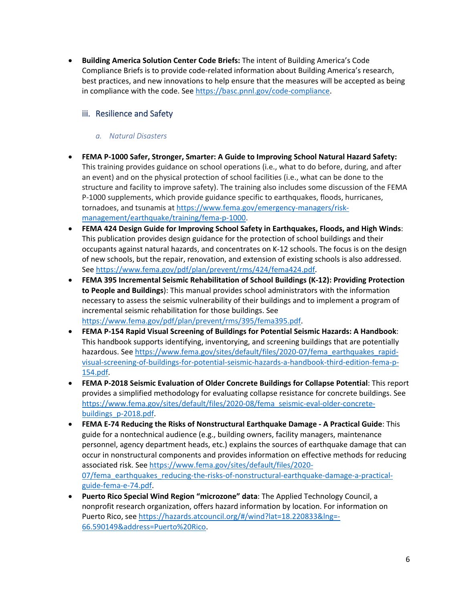• **Building America Solution Center Code Briefs:** The intent of Building America's Code Compliance Briefs is to provide code-related information about Building America's research, best practices, and new innovations to help ensure that the measures will be accepted as being in compliance with the code. See [https://basc.pnnl.gov/code-compliance.](https://basc.pnnl.gov/code-compliance)

#### <span id="page-5-0"></span>iii. Resilience and Safety

#### *a. Natural Disasters*

- **FEMA P-1000 Safer, Stronger, Smarter: A Guide to Improving School Natural Hazard Safety:** This training provides guidance on school operations (i.e., what to do before, during, and after an event) and on the physical protection of school facilities (i.e., what can be done to the structure and facility to improve safety). The training also includes some discussion of the FEMA P-1000 supplements, which provide guidance specific to earthquakes, floods, hurricanes, tornadoes, and tsunamis a[t https://www.fema.gov/emergency-managers/risk](https://www.fema.gov/emergency-managers/risk-management/earthquake/training/fema-p-1000)[management/earthquake/training/fema-p-1000.](https://www.fema.gov/emergency-managers/risk-management/earthquake/training/fema-p-1000)
- **FEMA 424 Design Guide for Improving School Safety in Earthquakes, Floods, and High Winds**: This publication provides design guidance for the protection of school buildings and their occupants against natural hazards, and concentrates on K-12 schools. The focus is on the design of new schools, but the repair, renovation, and extension of existing schools is also addressed. See [https://www.fema.gov/pdf/plan/prevent/rms/424/fema424.pdf.](https://www.fema.gov/pdf/plan/prevent/rms/424/fema424.pdf)
- **FEMA 395 Incremental Seismic Rehabilitation of School Buildings (K-12): Providing Protection to People and Buildings**): This manual provides school administrators with the information necessary to assess the seismic vulnerability of their buildings and to implement a program of incremental seismic rehabilitation for those buildings. See [https://www.fema.gov/pdf/plan/prevent/rms/395/fema395.pdf.](https://www.fema.gov/pdf/plan/prevent/rms/395/fema395.pdf)
- **FEMA P-154 Rapid Visual Screening of Buildings for Potential Seismic Hazards: A Handbook**: This handbook supports identifying, inventorying, and screening buildings that are potentially hazardous. See [https://www.fema.gov/sites/default/files/2020-07/fema\\_earthquakes\\_rapid](https://www.fema.gov/sites/default/files/2020-07/fema_earthquakes_rapid-visual-screening-of-buildings-for-potential-seismic-hazards-a-handbook-third-edition-fema-p-154.pdf)[visual-screening-of-buildings-for-potential-seismic-hazards-a-handbook-third-edition-fema-p-](https://www.fema.gov/sites/default/files/2020-07/fema_earthquakes_rapid-visual-screening-of-buildings-for-potential-seismic-hazards-a-handbook-third-edition-fema-p-154.pdf)[154.pdf.](https://www.fema.gov/sites/default/files/2020-07/fema_earthquakes_rapid-visual-screening-of-buildings-for-potential-seismic-hazards-a-handbook-third-edition-fema-p-154.pdf)
- **FEMA P-2018 Seismic Evaluation of Older Concrete Buildings for Collapse Potential**: This report provides a simplified methodology for evaluating collapse resistance for concrete buildings. See [https://www.fema.gov/sites/default/files/2020-08/fema\\_seismic-eval-older-concrete](https://www.fema.gov/sites/default/files/2020-08/fema_seismic-eval-older-concrete-buildings_p-2018.pdf)[buildings\\_p-2018.pdf.](https://www.fema.gov/sites/default/files/2020-08/fema_seismic-eval-older-concrete-buildings_p-2018.pdf)
- **FEMA E-74 Reducing the Risks of Nonstructural Earthquake Damage - A Practical Guide**: This guide for a nontechnical audience (e.g., building owners, facility managers, maintenance personnel, agency department heads, etc.) explains the sources of earthquake damage that can occur in nonstructural components and provides information on effective methods for reducing associated risk. See [https://www.fema.gov/sites/default/files/2020-](https://www.fema.gov/sites/default/files/2020-07/fema_earthquakes_reducing-the-risks-of-nonstructural-earthquake-damage-a-practical-guide-fema-e-74.pdf) [07/fema\\_earthquakes\\_reducing-the-risks-of-nonstructural-earthquake-damage-a-practical](https://www.fema.gov/sites/default/files/2020-07/fema_earthquakes_reducing-the-risks-of-nonstructural-earthquake-damage-a-practical-guide-fema-e-74.pdf)[guide-fema-e-74.pdf.](https://www.fema.gov/sites/default/files/2020-07/fema_earthquakes_reducing-the-risks-of-nonstructural-earthquake-damage-a-practical-guide-fema-e-74.pdf)
- **Puerto Rico Special Wind Region "microzone" data**: The Applied Technology Council, a nonprofit research organization, offers hazard information by location. For information on Puerto Rico, see [https://hazards.atcouncil.org/#/wind?lat=18.220833&lng=-](https://hazards.atcouncil.org/#/wind?lat=18.220833&lng=-66.590149&address=Puerto%20Rico) [66.590149&address=Puerto%20Rico.](https://hazards.atcouncil.org/#/wind?lat=18.220833&lng=-66.590149&address=Puerto%20Rico)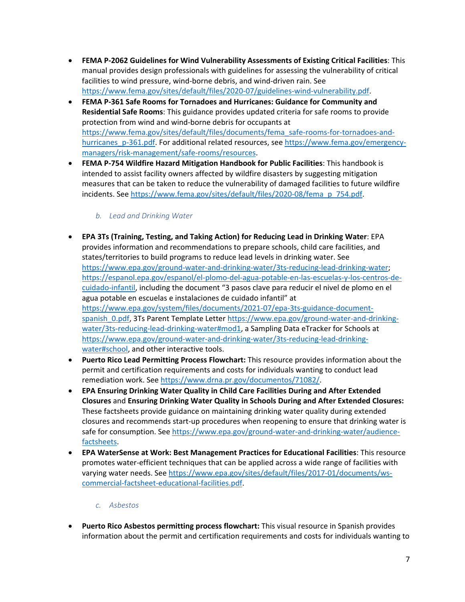- **FEMA P-2062 Guidelines for Wind Vulnerability Assessments of Existing Critical Facilities**: This manual provides design professionals with guidelines for assessing the vulnerability of critical facilities to wind pressure, wind-borne debris, and wind-driven rain. See [https://www.fema.gov/sites/default/files/2020-07/guidelines-wind-vulnerability.pdf.](https://www.fema.gov/sites/default/files/2020-07/guidelines-wind-vulnerability.pdf)
- **FEMA P-361 Safe Rooms for Tornadoes and Hurricanes: Guidance for Community and Residential Safe Rooms**: This guidance provides updated criteria for safe rooms to provide protection from wind and wind-borne debris for occupants at [https://www.fema.gov/sites/default/files/documents/fema\\_safe-rooms-for-tornadoes-and](https://www.fema.gov/sites/default/files/documents/fema_safe-rooms-for-tornadoes-and-hurricanes_p-361.pdf)[hurricanes\\_p-361.pdf.](https://www.fema.gov/sites/default/files/documents/fema_safe-rooms-for-tornadoes-and-hurricanes_p-361.pdf) For additional related resources, see [https://www.fema.gov/emergency](https://www.fema.gov/emergency-managers/risk-management/safe-rooms/resources)[managers/risk-management/safe-rooms/resources.](https://www.fema.gov/emergency-managers/risk-management/safe-rooms/resources)
- **FEMA P-754 Wildfire Hazard Mitigation Handbook for Public Facilities**: This handbook is intended to assist facility owners affected by wildfire disasters by suggesting mitigation measures that can be taken to reduce the vulnerability of damaged facilities to future wildfire incidents. See [https://www.fema.gov/sites/default/files/2020-08/fema\\_p\\_754.pdf.](https://www.fema.gov/sites/default/files/2020-08/fema_p_754.pdf)

#### *b. Lead and Drinking Water*

- **EPA 3Ts (Training, Testing, and Taking Action) for Reducing Lead in Drinking Water**: EPA provides information and recommendations to prepare schools, child care facilities, and states/territories to build programs to reduce lead levels in drinking water. See [https://www.epa.gov/ground-water-and-drinking-water/3ts-reducing-lead-drinking-water;](https://www.epa.gov/ground-water-and-drinking-water/3ts-reducing-lead-drinking-water) [https://espanol.epa.gov/espanol/el-plomo-del-agua-potable-en-las-escuelas-y-los-centros-de](https://espanol.epa.gov/espanol/el-plomo-del-agua-potable-en-las-escuelas-y-los-centros-de-cuidado-infantil)[cuidado-infantil,](https://espanol.epa.gov/espanol/el-plomo-del-agua-potable-en-las-escuelas-y-los-centros-de-cuidado-infantil) including the document "3 pasos clave para reducir el nivel de plomo en el agua potable en escuelas e instalaciones de cuidado infantil" at [https://www.epa.gov/system/files/documents/2021-07/epa-3ts-guidance-document](https://www.epa.gov/system/files/documents/2021-07/epa-3ts-guidance-document-spanish_0.pdf)spanish 0.pdf, 3Ts Parent Template Letter [https://www.epa.gov/ground-water-and-drinking](https://www.epa.gov/ground-water-and-drinking-water/3ts-reducing-lead-drinking-water#mod1)[water/3ts-reducing-lead-drinking-water#mod1,](https://www.epa.gov/ground-water-and-drinking-water/3ts-reducing-lead-drinking-water#mod1) a Sampling Data eTracker for Schools at [https://www.epa.gov/ground-water-and-drinking-water/3ts-reducing-lead-drinking](https://www.epa.gov/ground-water-and-drinking-water/3ts-reducing-lead-drinking-water#school)[water#school,](https://www.epa.gov/ground-water-and-drinking-water/3ts-reducing-lead-drinking-water#school) and other interactive tools.
- **Puerto Rico Lead Permitting Process Flowchart:** This resource provides information about the permit and certification requirements and costs for individuals wanting to conduct lead remediation work. Se[e https://www.drna.pr.gov/documentos/71082/.](https://www.drna.pr.gov/documentos/71082/)
- **EPA Ensuring Drinking Water Quality in Child Care Facilities During and After Extended Closures** and **Ensuring Drinking Water Quality in Schools During and After Extended Closures:** These factsheets provide guidance on maintaining drinking water quality during extended closures and recommends start-up procedures when reopening to ensure that drinking water is safe for consumption. See [https://www.epa.gov/ground-water-and-drinking-water/audience](https://www.epa.gov/ground-water-and-drinking-water/audience-factsheets)[factsheets.](https://www.epa.gov/ground-water-and-drinking-water/audience-factsheets)
- **EPA WaterSense at Work: Best Management Practices for Educational Facilities**: This resource promotes water-efficient techniques that can be applied across a wide range of facilities with varying water needs. See [https://www.epa.gov/sites/default/files/2017-01/documents/ws](https://www.epa.gov/sites/default/files/2017-01/documents/ws-commercial-factsheet-educational-facilities.pdf)[commercial-factsheet-educational-facilities.pdf.](https://www.epa.gov/sites/default/files/2017-01/documents/ws-commercial-factsheet-educational-facilities.pdf)

#### *c. Asbestos*

• **Puerto Rico Asbestos permitting process flowchart:** This visual resource in Spanish provides information about the permit and certification requirements and costs for individuals wanting to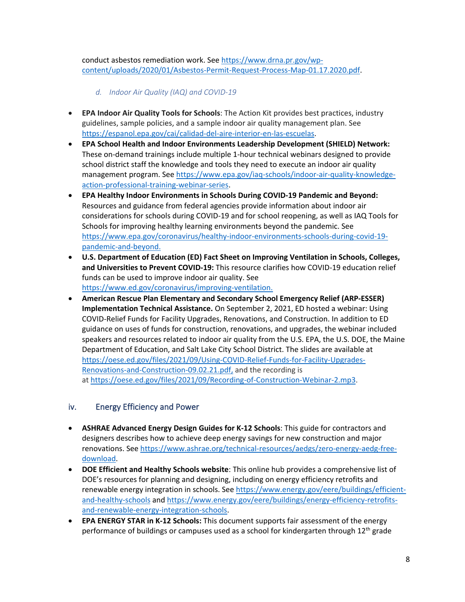conduct asbestos remediation work. Se[e https://www.drna.pr.gov/wp](https://www.drna.pr.gov/wp-content/uploads/2020/01/Asbestos-Permit-Request-Process-Map-01.17.2020.pdf)[content/uploads/2020/01/Asbestos-Permit-Request-Process-Map-01.17.2020.pdf.](https://www.drna.pr.gov/wp-content/uploads/2020/01/Asbestos-Permit-Request-Process-Map-01.17.2020.pdf)

*d. Indoor Air Quality (IAQ) and COVID-19*

- **EPA Indoor Air Quality Tools for Schools**: The Action Kit provides best practices, industry guidelines, sample policies, and a sample indoor air quality management plan. See [https://espanol.epa.gov/cai/calidad-del-aire-interior-en-las-escuelas.](https://espanol.epa.gov/cai/calidad-del-aire-interior-en-las-escuelas)
- **EPA School Health and Indoor Environments Leadership Development (SHIELD) Network:** These on-demand trainings include multiple 1-hour technical webinars designed to provide school district staff the knowledge and tools they need to execute an indoor air quality management program. See [https://www.epa.gov/iaq-schools/indoor-air-quality-knowledge](https://www.epa.gov/iaq-schools/indoor-air-quality-knowledge-action-professional-training-webinar-series)[action-professional-training-webinar-series.](https://www.epa.gov/iaq-schools/indoor-air-quality-knowledge-action-professional-training-webinar-series)
- **EPA Healthy Indoor Environments in Schools During COVID-19 Pandemic and Beyond:** Resources and guidance from federal agencies provide information about indoor air considerations for schools during COVID-19 and for school reopening, as well as IAQ Tools for Schools for improving healthy learning environments beyond the pandemic. See [https://www.epa.gov/coronavirus/healthy-indoor-environments-schools-during-covid-19](https://www.epa.gov/coronavirus/healthy-indoor-environments-schools-during-covid-19-pandemic-and-beyond) [pandemic-and-beyond.](https://www.epa.gov/coronavirus/healthy-indoor-environments-schools-during-covid-19-pandemic-and-beyond)
- **U.S. Department of Education (ED) Fact Sheet on Improving Ventilation in Schools, Colleges, and Universities to Prevent COVID-19:** This resource clarifies how COVID-19 education relief funds can be used to improve indoor air quality. See [https://www.ed.gov/coronavirus/improving-ventilation.](https://www.ed.gov/coronavirus/improving-ventilation)
- **American Rescue Plan Elementary and Secondary School Emergency Relief (ARP-ESSER) Implementation Technical Assistance.** On September 2, 2021, ED hosted a webinar: Using COVID-Relief Funds for Facility Upgrades, Renovations, and Construction. In addition to ED guidance on uses of funds for construction, renovations, and upgrades, the webinar included speakers and resources related to indoor air quality from the U.S. EPA, the U.S. DOE, the Maine Department of Education, and Salt Lake City School District. The slides are available at [https://oese.ed.gov/files/2021/09/Using-COVID-Relief-Funds-for-Facility-Upgrades-](https://oese.ed.gov/files/2021/09/Using-COVID-Relief-Funds-for-Facility-Upgrades-Renovations-and-Construction-09.02.21.pdf)[Renovations-and-Construction-09.02.21.pdf,](https://oese.ed.gov/files/2021/09/Using-COVID-Relief-Funds-for-Facility-Upgrades-Renovations-and-Construction-09.02.21.pdf) and the recording is at [https://oese.ed.gov/files/2021/09/Recording-of-Construction-Webinar-2.mp3.](https://oese.ed.gov/files/2021/09/Recording-of-Construction-Webinar-2.mp3)

#### <span id="page-7-0"></span>iv. Energy Efficiency and Power

- **ASHRAE Advanced Energy Design Guides for K-12 Schools**: This guide for contractors and designers describes how to achieve deep energy savings for new construction and major renovations. See [https://www.ashrae.org/technical-resources/aedgs/zero-energy-aedg-free](https://www.ashrae.org/technical-resources/aedgs/zero-energy-aedg-free-download)[download.](https://www.ashrae.org/technical-resources/aedgs/zero-energy-aedg-free-download)
- **DOE Efficient and Healthy Schools website**: This online hub provides a comprehensive list of DOE's resources for planning and designing, including on energy efficiency retrofits and renewable energy integration in schools. See [https://www.energy.gov/eere/buildings/efficient](https://www.energy.gov/eere/buildings/efficient-and-healthy-schools)[and-healthy-schools](https://www.energy.gov/eere/buildings/efficient-and-healthy-schools) and [https://www.energy.gov/eere/buildings/energy-efficiency-retrofits](https://www.energy.gov/eere/buildings/energy-efficiency-retrofits-and-renewable-energy-integration-schools)[and-renewable-energy-integration-schools.](https://www.energy.gov/eere/buildings/energy-efficiency-retrofits-and-renewable-energy-integration-schools)
- **EPA ENERGY STAR in K-12 Schools:** This document supports fair assessment of the energy performance of buildings or campuses used as a school for kindergarten through  $12<sup>th</sup>$  grade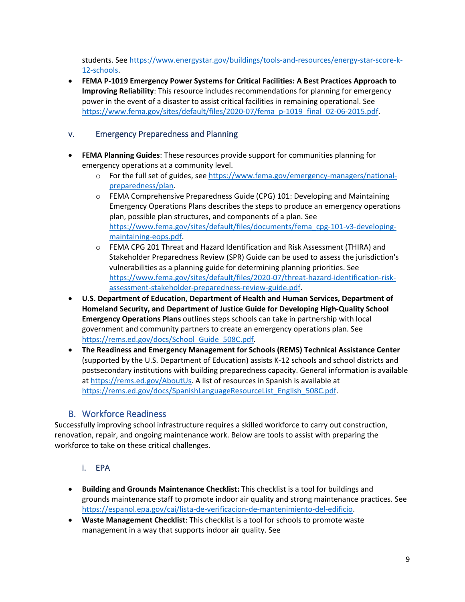students. See [https://www.energystar.gov/buildings/tools-and-resources/energy-star-score-k-](https://www.energystar.gov/buildings/tools-and-resources/energy-star-score-k-12-schools)[12-schools.](https://www.energystar.gov/buildings/tools-and-resources/energy-star-score-k-12-schools)

• **FEMA P-1019 Emergency Power Systems for Critical Facilities: A Best Practices Approach to Improving Reliability**: This resource includes recommendations for planning for emergency power in the event of a disaster to assist critical facilities in remaining operational. See [https://www.fema.gov/sites/default/files/2020-07/fema\\_p-1019\\_final\\_02-06-2015.pdf.](https://www.fema.gov/sites/default/files/2020-07/fema_p-1019_final_02-06-2015.pdf) 

#### <span id="page-8-0"></span>v. Emergency Preparedness and Planning

- **FEMA Planning Guides**: These resources provide support for communities planning for emergency operations at a community level.
	- o For the full set of guides, see [https://www.fema.gov/emergency-managers/national](https://www.fema.gov/emergency-managers/national-preparedness/plan)[preparedness/plan.](https://www.fema.gov/emergency-managers/national-preparedness/plan)
	- o FEMA Comprehensive Preparedness Guide (CPG) 101: Developing and Maintaining Emergency Operations Plans describes the steps to produce an emergency operations plan, possible plan structures, and components of a plan. See [https://www.fema.gov/sites/default/files/documents/fema\\_cpg-101-v3-developing](https://www.fema.gov/sites/default/files/documents/fema_cpg-101-v3-developing-maintaining-eops.pdf)[maintaining-eops.pdf.](https://www.fema.gov/sites/default/files/documents/fema_cpg-101-v3-developing-maintaining-eops.pdf)
	- o FEMA CPG 201 Threat and Hazard Identification and Risk Assessment (THIRA) and Stakeholder Preparedness Review (SPR) Guide can be used to assess the jurisdiction's vulnerabilities as a planning guide for determining planning priorities. See [https://www.fema.gov/sites/default/files/2020-07/threat-hazard-identification-risk](https://www.fema.gov/sites/default/files/2020-07/threat-hazard-identification-risk-assessment-stakeholder-preparedness-review-guide.pdf)[assessment-stakeholder-preparedness-review-guide.pdf.](https://www.fema.gov/sites/default/files/2020-07/threat-hazard-identification-risk-assessment-stakeholder-preparedness-review-guide.pdf)
- **U.S. Department of Education, Department of Health and Human Services, Department of Homeland Security, and Department of Justice Guide for Developing High-Quality School Emergency Operations Plans** outlines steps schools can take in partnership with local government and community partners to create an emergency operations plan. See [https://rems.ed.gov/docs/School\\_Guide\\_508C.pdf.](https://rems.ed.gov/docs/School_Guide_508C.pdf)
- **The Readiness and Emergency Management for Schools (REMS) Technical Assistance Center**  (supported by the U.S. Department of Education) assists K-12 schools and school districts and postsecondary institutions with building preparedness capacity. General information is available at [https://rems.ed.gov/AboutUs.](https://rems.ed.gov/AboutUs) A list of resources in Spanish is available at [https://rems.ed.gov/docs/SpanishLanguageResourceList\\_English\\_508C.pdf.](https://rems.ed.gov/docs/SpanishLanguageResourceList_English_508C.pdf)

## B. Workforce Readiness

<span id="page-8-1"></span>Successfully improving school infrastructure requires a skilled workforce to carry out construction, renovation, repair, and ongoing maintenance work. Below are tools to assist with preparing the workforce to take on these critical challenges.

## i. EPA

- <span id="page-8-2"></span>• **Building and Grounds Maintenance Checklist:** This checklist is a tool for buildings and grounds maintenance staff to promote indoor air quality and strong maintenance practices. See [https://espanol.epa.gov/cai/lista-de-verificacion-de-mantenimiento-del-edificio.](https://espanol.epa.gov/cai/lista-de-verificacion-de-mantenimiento-del-edificio)
- **Waste Management Checklist**: This checklist is a tool for schools to promote waste management in a way that supports indoor air quality. See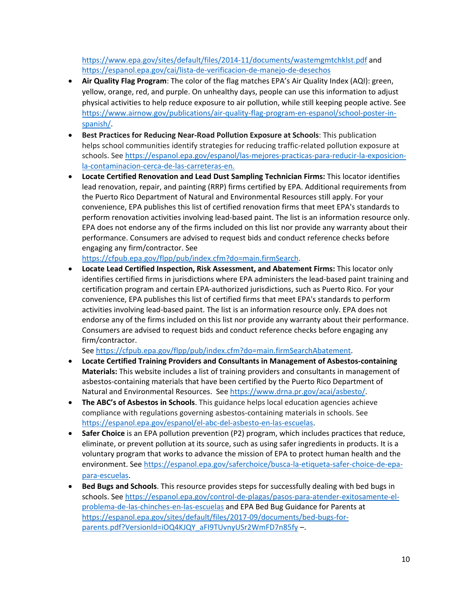<https://www.epa.gov/sites/default/files/2014-11/documents/wastemgmtchklst.pdf> and <https://espanol.epa.gov/cai/lista-de-verificacion-de-manejo-de-desechos>

- **Air Quality Flag Program**: The color of the flag matches EPA's Air Quality Index (AQI): green, yellow, orange, red, and purple. On unhealthy days, people can use this information to adjust physical activities to help reduce exposure to air pollution, while still keeping people active. See [https://www.airnow.gov/publications/air-quality-flag-program-en-espanol/school-poster-in](https://www.airnow.gov/publications/air-quality-flag-program-en-espanol/school-poster-in-spanish/)[spanish/.](https://www.airnow.gov/publications/air-quality-flag-program-en-espanol/school-poster-in-spanish/)
- **Best Practices for Reducing Near-Road Pollution Exposure at Schools**: This publication helps school communities identify strategies for reducing traffic-related pollution exposure at schools. See [https://espanol.epa.gov/espanol/las-mejores-practicas-para-reducir-la-exposicion](https://espanol.epa.gov/espanol/las-mejores-practicas-para-reducir-la-exposicion-la-contaminacion-cerca-de-las-carreteras-en)[la-contaminacion-cerca-de-las-carreteras-en.](https://espanol.epa.gov/espanol/las-mejores-practicas-para-reducir-la-exposicion-la-contaminacion-cerca-de-las-carreteras-en)
- **Locate Certified Renovation and Lead Dust Sampling Technician Firms:** This locator identifies lead renovation, repair, and painting (RRP) firms certified by EPA. Additional requirements from the Puerto Rico Department of Natural and Environmental Resources still apply. For your convenience, EPA publishes this list of certified renovation firms that meet EPA's standards to perform renovation activities involving lead-based paint. The list is an information resource only. EPA does not endorse any of the firms included on this list nor provide any warranty about their performance. Consumers are advised to request bids and conduct reference checks before engaging any firm/contractor. See

[https://cfpub.epa.gov/flpp/pub/index.cfm?do=main.firmSearch.](https://cfpub.epa.gov/flpp/pub/index.cfm?do=main.firmSearch)

• **Locate Lead Certified Inspection, Risk Assessment, and Abatement Firms:** This locator only identifies certified firms in jurisdictions where EPA administers the lead-based paint training and certification program and certain EPA-authorized jurisdictions, such as Puerto Rico. For your convenience, EPA publishes this list of certified firms that meet EPA's standards to perform activities involving lead-based paint. The list is an information resource only. EPA does not endorse any of the firms included on this list nor provide any warranty about their performance. Consumers are advised to request bids and conduct reference checks before engaging any firm/contractor.

See [https://cfpub.epa.gov/flpp/pub/index.cfm?do=main.firmSearchAbatement.](https://cfpub.epa.gov/flpp/pub/index.cfm?do=main.firmSearchAbatement)

- **Locate Certified Training Providers and Consultants in Management of Asbestos-containing Materials:** This website includes a list of training providers and consultants in management of asbestos-containing materials that have been certified by the Puerto Rico Department of Natural and Environmental Resources. See [https://www.drna.pr.gov/acai/asbesto/.](https://www.drna.pr.gov/acai/asbesto/)
- **[The ABC's of Asbestos in Schools](https://www.epa.gov/asbestos/abcs-asbestos-schools)**. This guidance helps local education agencies achieve compliance with regulations governing asbestos-containing materials in schools. See [https://espanol.epa.gov/espanol/el-abc-del-asbesto-en-las-escuelas.](https://espanol.epa.gov/espanol/el-abc-del-asbesto-en-las-escuelas)
- **Safer Choice** is an EPA pollution prevention (P2) program, which includes practices that reduce, eliminate, or prevent pollution at its source, such as using safer ingredients in products. It is a voluntary program that works to advance the mission of EPA to protect human health and the environment. Se[e https://espanol.epa.gov/saferchoice/busca-la-etiqueta-safer-choice-de-epa](https://espanol.epa.gov/saferchoice/busca-la-etiqueta-safer-choice-de-epa-para-escuelas)[para-escuelas.](https://espanol.epa.gov/saferchoice/busca-la-etiqueta-safer-choice-de-epa-para-escuelas)
- **Bed Bugs and Schools**. This resource provides steps for successfully dealing with bed bugs in schools. See [https://espanol.epa.gov/control-de-plagas/pasos-para-atender-exitosamente-el](https://espanol.epa.gov/control-de-plagas/pasos-para-atender-exitosamente-el-problema-de-las-chinches-en-las-escuelas)[problema-de-las-chinches-en-las-escuelas](https://espanol.epa.gov/control-de-plagas/pasos-para-atender-exitosamente-el-problema-de-las-chinches-en-las-escuelas) and EPA Bed Bug Guidance for Parents at [https://espanol.epa.gov/sites/default/files/2017-09/documents/bed-bugs-for](https://espanol.epa.gov/sites/default/files/2017-09/documents/bed-bugs-for-parents.pdf?VersionId=iOQ4KJQY_aFI9TUvnyUSr2WmFD7n85fy)[parents.pdf?VersionId=iOQ4KJQY\\_aFI9TUvnyUSr2WmFD7n85fy](https://espanol.epa.gov/sites/default/files/2017-09/documents/bed-bugs-for-parents.pdf?VersionId=iOQ4KJQY_aFI9TUvnyUSr2WmFD7n85fy) –.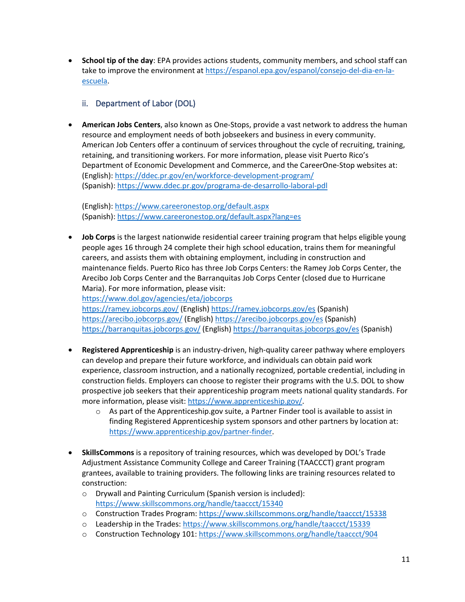• **School tip of the day**: EPA provides actions students, community members, and school staff can take to improve the environment at [https://espanol.epa.gov/espanol/consejo-del-dia-en-la](https://espanol.epa.gov/espanol/consejo-del-dia-en-la-escuela)[escuela.](https://espanol.epa.gov/espanol/consejo-del-dia-en-la-escuela)

### <span id="page-10-0"></span>ii. Department of Labor (DOL)

• **American Jobs Centers**, also known as One-Stops, provide a vast network to address the human resource and employment needs of both jobseekers and business in every community. American Job Centers offer a continuum of services throughout the cycle of recruiting, training, retaining, and transitioning workers. For more information, please visit Puerto Rico's Department of Economic Development and Commerce, and the CareerOne-Stop websites at: (English)[: https://ddec.pr.gov/en/workforce-development-program/](https://ddec.pr.gov/en/workforce-development-program/) (Spanish)[: https://www.ddec.pr.gov/programa-de-desarrollo-laboral-pdl](https://www.ddec.pr.gov/programa-de-desarrollo-laboral-pdl)

(English)[: https://www.careeronestop.org/default.aspx](https://www.careeronestop.org/default.aspx) (Spanish)[: https://www.careeronestop.org/default.aspx?lang=es](https://www.careeronestop.org/default.aspx?lang=es) 

• **Job Corps** is the largest nationwide residential career training program that helps eligible young people ages 16 through 24 complete their high school education, trains them for meaningful careers, and assists them with obtaining employment, including in construction and maintenance fields. Puerto Rico has three Job Corps Centers: the Ramey Job Corps Center, the Arecibo Job Corps Center and the Barranquitas Job Corps Center (closed due to Hurricane Maria). For more information, please visit:

<https://www.dol.gov/agencies/eta/jobcorps>

<https://ramey.jobcorps.gov/> (English)<https://ramey.jobcorps.gov/es> (Spanish) <https://arecibo.jobcorps.gov/> (English)<https://arecibo.jobcorps.gov/es> (Spanish) <https://barranquitas.jobcorps.gov/> (English)<https://barranquitas.jobcorps.gov/es> (Spanish)

- **Registered Apprenticeship** is an industry-driven, high-quality career pathway where employers can develop and prepare their future workforce, and individuals can obtain paid work experience, classroom instruction, and a nationally recognized, portable credential, including in construction fields. Employers can choose to register their programs with the U.S. DOL to show prospective job seekers that their apprenticeship program meets national quality standards. For more information, please visit: [https://www.apprenticeship.gov/.](https://www.apprenticeship.gov/)
	- $\circ$  As part of the Apprenticeship.gov suite, a Partner Finder tool is available to assist in finding Registered Apprenticeship system sponsors and other partners by location at: [https://www.apprenticeship.gov/partner-finder.](https://www.apprenticeship.gov/partner-finder)
- **SkillsCommons** is a repository of training resources, which was developed by DOL's Trade Adjustment Assistance Community College and Career Training (TAACCCT) grant program grantees, available to training providers. The following links are training resources related to construction:
	- o Drywall and Painting Curriculum (Spanish version is included): <https://www.skillscommons.org/handle/taaccct/15340>
	- o Construction Trades Program:<https://www.skillscommons.org/handle/taaccct/15338>
	- o Leadership in the Trades:<https://www.skillscommons.org/handle/taaccct/15339>
	- o Construction Technology 101:<https://www.skillscommons.org/handle/taaccct/904>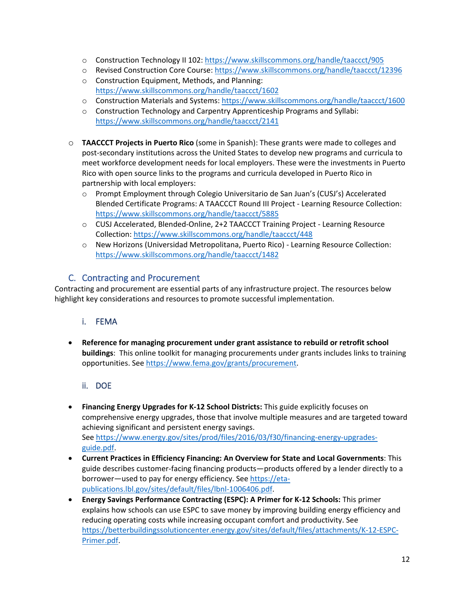- o Construction Technology II 102:<https://www.skillscommons.org/handle/taaccct/905>
- o Revised Construction Core Course:<https://www.skillscommons.org/handle/taaccct/12396>
- o Construction Equipment, Methods, and Planning: <https://www.skillscommons.org/handle/taaccct/1602>
- o Construction Materials and Systems:<https://www.skillscommons.org/handle/taaccct/1600>
- o Construction Technology and Carpentry Apprenticeship Programs and Syllabi: <https://www.skillscommons.org/handle/taaccct/2141>
- o **TAACCCT Projects in Puerto Rico** (some in Spanish): These grants were made to colleges and post-secondary institutions across the United States to develop new programs and curricula to meet workforce development needs for local employers. These were the investments in Puerto Rico with open source links to the programs and curricula developed in Puerto Rico in partnership with local employers:
	- o Prompt Employment through Colegio Universitario de San Juan's (CUSJ's) Accelerated Blended Certificate Programs: A TAACCCT Round III Project - Learning Resource Collection: <https://www.skillscommons.org/handle/taaccct/5885>
	- o CUSJ Accelerated, Blended-Online, 2+2 TAACCCT Training Project Learning Resource Collection:<https://www.skillscommons.org/handle/taaccct/448>
	- o New Horizons (Universidad Metropolitana, Puerto Rico) Learning Resource Collection: <https://www.skillscommons.org/handle/taaccct/1482>

## C. Contracting and Procurement

<span id="page-11-0"></span>Contracting and procurement are essential parts of any infrastructure project. The resources below highlight key considerations and resources to promote successful implementation.

#### <span id="page-11-1"></span>i. FEMA

• **Reference for managing procurement under grant assistance to rebuild or retrofit school buildings**: This online toolkit for managing procurements under grants includes links to training opportunities. See [https://www.fema.gov/grants/procurement.](https://www.fema.gov/grants/procurement)

#### ii. DOE

- <span id="page-11-2"></span>• **Financing Energy Upgrades for K-12 School Districts:** This guide explicitly focuses on comprehensive energy upgrades, those that involve multiple measures and are targeted toward achieving significant and persistent energy savings. See [https://www.energy.gov/sites/prod/files/2016/03/f30/financing-energy-upgrades](https://www.energy.gov/sites/prod/files/2016/03/f30/financing-energy-upgrades-guide.pdf)[guide.pdf.](https://www.energy.gov/sites/prod/files/2016/03/f30/financing-energy-upgrades-guide.pdf)
- **Current Practices in Efficiency Financing: An Overview for State and Local Governments**: This guide describes customer-facing financing products—products offered by a lender directly to a borrower—used to pay for energy efficiency. Se[e https://eta](https://eta-publications.lbl.gov/sites/default/files/lbnl-1006406.pdf)[publications.lbl.gov/sites/default/files/lbnl-1006406.pdf.](https://eta-publications.lbl.gov/sites/default/files/lbnl-1006406.pdf)
- **Energy Savings Performance Contracting (ESPC): A Primer for K-12 Schools:** This primer explains how schools can use ESPC to save money by improving building energy efficiency and reducing operating costs while increasing occupant comfort and productivity. See [https://betterbuildingssolutioncenter.energy.gov/sites/default/files/attachments/K-12-ESPC-](https://betterbuildingssolutioncenter.energy.gov/sites/default/files/attachments/K-12-ESPC-Primer.pdf)[Primer.pdf.](https://betterbuildingssolutioncenter.energy.gov/sites/default/files/attachments/K-12-ESPC-Primer.pdf)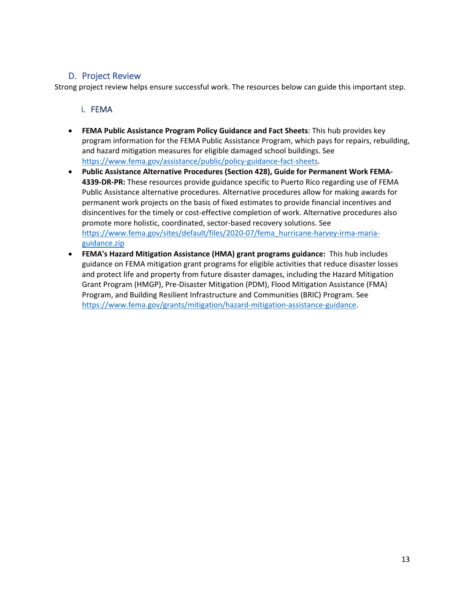### D. Project Review

<span id="page-12-0"></span>Strong project review helps ensure successful work. The resources below can guide this important step.

#### <span id="page-12-1"></span>i. FEMA

- **FEMA Public Assistance Program Policy Guidance and Fact Sheets**: This hub provides key program information for the FEMA Public Assistance Program, which pays for repairs, rebuilding, and hazard mitigation measures for eligible damaged school buildings. See [https://www.fema.gov/assistance/public/policy-guidance-fact-sheets.](https://www.fema.gov/assistance/public/policy-guidance-fact-sheets)
- **Public Assistance Alternative Procedures (Section 428), Guide for Permanent Work FEMA-4339-DR-PR:** These resources provide guidance specific to Puerto Rico regarding use of FEMA Public Assistance alternative procedures. Alternative procedures allow for making awards for permanent work projects on the basis of fixed estimates to provide financial incentives and disincentives for the timely or cost-effective completion of work. Alternative procedures also promote more holistic, coordinated, sector-based recovery solutions. See [https://www.fema.gov/sites/default/files/2020-07/fema\\_hurricane-harvey-irma-maria](https://www.fema.gov/sites/default/files/2020-07/fema_hurricane-harvey-irma-maria-guidance.zip)[guidance.zip](https://www.fema.gov/sites/default/files/2020-07/fema_hurricane-harvey-irma-maria-guidance.zip)
- **FEMA's Hazard Mitigation Assistance (HMA) grant programs guidance:** This hub includes guidance on FEMA mitigation grant programs for eligible activities that reduce disaster losses and protect life and property from future disaster damages, including the Hazard Mitigation Grant Program (HMGP), Pre-Disaster Mitigation (PDM), Flood Mitigation Assistance (FMA) Program, and Building Resilient Infrastructure and Communities (BRIC) Program. See [https://www.fema.gov/grants/mitigation/hazard-mitigation-assistance-guidance.](https://www.fema.gov/grants/mitigation/hazard-mitigation-assistance-guidance)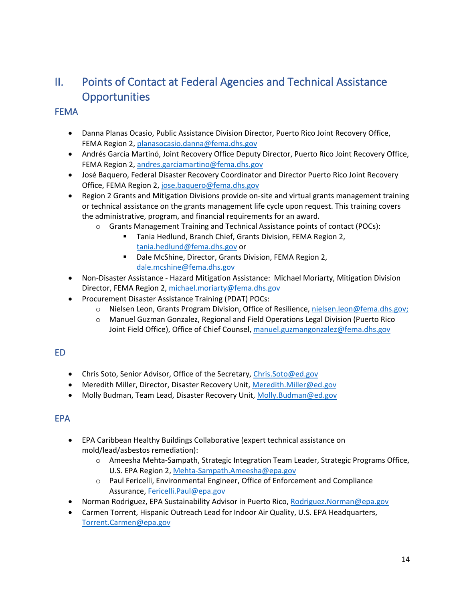# <span id="page-13-0"></span>II. Points of Contact at Federal Agencies and Technical Assistance **Opportunities**

#### <span id="page-13-1"></span>**FEMA**

- Danna Planas Ocasio, Public Assistance Division Director, Puerto Rico Joint Recovery Office, FEMA Region 2[, planasocasio.danna@fema.dhs.gov](mailto:planasocasio.danna@fema.dhs.gov)
- Andrés García Martinó, Joint Recovery Office Deputy Director, Puerto Rico Joint Recovery Office, FEMA Region 2[, andres.garciamartino@fema.dhs.gov](mailto:andres.garciamartino@fema.dhs.gov)
- José Baquero, Federal Disaster Recovery Coordinator and Director Puerto Rico Joint Recovery Office, FEMA Region 2[, jose.baquero@fema.dhs.gov](mailto:jose.baquero@fema.dhs.gov)
- Region 2 Grants and Mitigation Divisions provide on-site and virtual grants management training or technical assistance on the grants management life cycle upon request. This training covers the administrative, program, and financial requirements for an award.
	- o Grants Management Training and Technical Assistance points of contact (POCs):
		- **Tania Hedlund, Branch Chief, Grants Division, FEMA Region 2,** [tania.hedlund@fema.dhs.gov](mailto:tania.hedlund@fema.dhs.gov) or
		- Dale McShine, Director, Grants Division, FEMA Region 2, [dale.mcshine@fema.dhs.gov](mailto:dale.mcshine@fema.dhs.gov)
- Non-Disaster Assistance Hazard Mitigation Assistance: Michael Moriarty, Mitigation Division Director, FEMA Region 2, [michael.moriarty@fema.dhs.gov](mailto:michael.moriarty@fema.dhs.gov)
- Procurement Disaster Assistance Training (PDAT) POCs:
	- o Nielsen Leon, Grants Program Division, Office of Resilience, [nielsen.leon@fema.dhs.gov;](mailto:nielsen.leon@fema.dhs.gov)
	- o Manuel Guzman Gonzalez, Regional and Field Operations Legal Division (Puerto Rico Joint Field Office), Office of Chief Counsel, [manuel.guzmangonzalez@fema.dhs.gov](mailto:manuel.guzmangonzalez@fema.dhs.gov)

## <span id="page-13-2"></span>ED

- Chris Soto, Senior Advisor, Office of the Secretary, [Chris.Soto@ed.gov](mailto:Chris.Soto@ed.gov)
- Meredith Miller, Director, Disaster Recovery Unit, [Meredith.Miller@ed.gov](mailto:Meredith.Miller@ed.gov)
- Molly Budman, Team Lead, Disaster Recovery Unit[, Molly.Budman@ed.gov](mailto:Molly.Budman@ed.gov)

## <span id="page-13-3"></span>EPA

- EPA Caribbean Healthy Buildings Collaborative (expert technical assistance on mold/lead/asbestos remediation):
	- o Ameesha Mehta-Sampath, Strategic Integration Team Leader, Strategic Programs Office, U.S. EPA Region 2, [Mehta-Sampath.Ameesha@epa.gov](mailto:Mehta-Sampath.Ameesha@epa.gov)
	- o Paul Fericelli, Environmental Engineer, Office of Enforcement and Compliance Assurance, [Fericelli.Paul@epa.gov](mailto:Fericelli.Paul@epa.gov)
- Norman Rodriguez, EPA Sustainability Advisor in Puerto Rico, [Rodriguez.Norman@epa.gov](mailto:Rodriguez.Norman@epa.gov)
- Carmen Torrent, Hispanic Outreach Lead for Indoor Air Quality, U.S. EPA Headquarters, [Torrent.Carmen@epa.gov](mailto:Torrent.Carmen@epa.gov)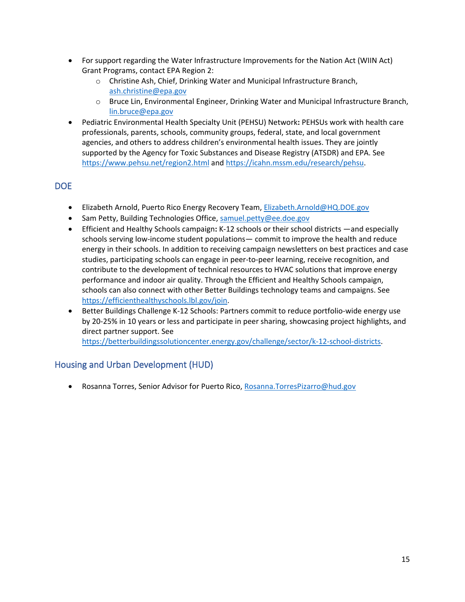- For support regarding the Water Infrastructure Improvements for the Nation Act (WIIN Act) Grant Programs, contact EPA Region 2:
	- o Christine Ash, Chief, Drinking Water and Municipal Infrastructure Branch, [ash.christine@epa.gov](mailto:ash.christine@epa.gov)
	- o Bruce Lin, Environmental Engineer, Drinking Water and Municipal Infrastructure Branch, [lin.bruce@epa.gov](mailto:lin.bruce@epa.gov)
- Pediatric Environmental Health Specialty Unit (PEHSU) Network**:** PEHSUs work with health care professionals, parents, schools, community groups, federal, state, and local government agencies, and others to address children's environmental health issues. They are jointly supported by the Agency for Toxic Substances and Disease Registry (ATSDR) and EPA. See <https://www.pehsu.net/region2.html> an[d https://icahn.mssm.edu/research/pehsu.](https://icahn.mssm.edu/research/pehsu)

## <span id="page-14-0"></span>**DOE**

- Elizabeth Arnold, Puerto Rico Energy Recovery Team[, Elizabeth.Arnold@HQ.DOE.gov](mailto:Elizabeth.Arnold@HQ.DOE.gov)
- Sam Petty, Building Technologies Office, [samuel.petty@ee.doe.gov](mailto:samuel.petty@ee.doe.gov)
- Efficient and Healthy Schools campaign**:** K-12 schools or their school districts —and especially schools serving low-income student populations— commit to improve the health and reduce energy in their schools. In addition to receiving campaign newsletters on best practices and case studies, participating schools can engage in peer-to-peer learning, receive recognition, and contribute to the development of technical resources to HVAC solutions that improve energy performance and indoor air quality. Through the Efficient and Healthy Schools campaign, schools can also connect with other Better Buildings technology teams and campaigns. See [https://efficienthealthyschools.lbl.gov/join.](https://efficienthealthyschools.lbl.gov/join)
- Better Buildings Challenge K-12 Schools: Partners commit to reduce portfolio-wide energy use by 20-25% in 10 years or less and participate in peer sharing, showcasing project highlights, and direct partner support. See

[https://betterbuildingssolutioncenter.energy.gov/challenge/sector/k-12-school-districts.](https://betterbuildingssolutioncenter.energy.gov/challenge/sector/k-12-school-districts)

## <span id="page-14-1"></span>Housing and Urban Development (HUD)

• Rosanna Torres, Senior Advisor for Puerto Rico, [Rosanna.TorresPizarro@hud.gov](mailto:Rosanna.TorresPizarro@hud.gov)